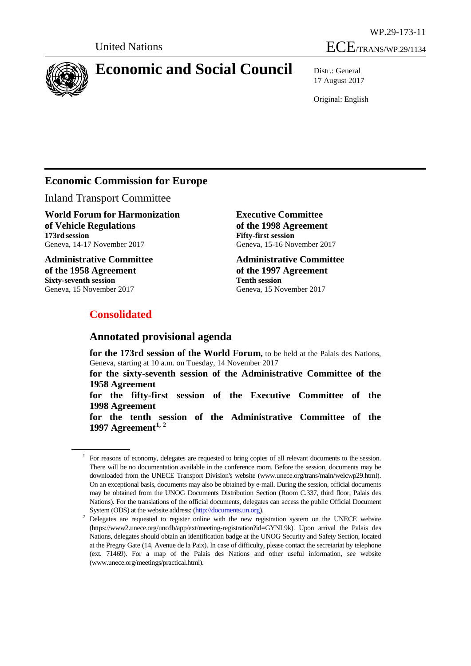



# **Economic and Social Council** Distr.: General

17 August 2017

Original: English

## **Economic Commission for Europe**

Inland Transport Committee

**World Forum for Harmonization of Vehicle Regulations 173rd session** Geneva, 14-17 November 2017

**Administrative Committee of the 1958 Agreement Sixty-seventh session** Geneva, 15 November 2017

**Executive Committee of the 1998 Agreement Fifty-first session** Geneva, 15-16 November 2017

**Administrative Committee of the 1997 Agreement Tenth session** Geneva, 15 November 2017

## **Consolidated**

## **Annotated provisional agenda**

**for the 173rd session of the World Forum,** to be held at the Palais des Nations, Geneva, starting at 10 a.m. on Tuesday, 14 November 2017

**for the sixty-seventh session of the Administrative Committee of the 1958 Agreement**

**for the fifty-first session of the Executive Committee of the 1998 Agreement**

**for the tenth session of the Administrative Committee of the 1997 Agreement[1](#page-0-0), [2](#page-0-1)**

<span id="page-0-0"></span><sup>1</sup> For reasons of economy, delegates are requested to bring copies of all relevant documents to the session. There will be no documentation available in the conference room. Before the session, documents may be downloaded from the UNECE Transport Division's website (www.unece.org/trans/main/welcwp29.html). On an exceptional basis, documents may also be obtained by e-mail. During the session, official documents may be obtained from the UNOG Documents Distribution Section (Room C.337, third floor, Palais des Nations). For the translations of the official documents, delegates can access the public Official Document System (ODS) at the website address: (http://documents.un.org).

<span id="page-0-1"></span><sup>&</sup>lt;sup>2</sup> Delegates are requested to register online with the new registration system on the UNECE website [\(https://www2.unece.org/uncdb/app/ext/meeting-registration?id=GYNL9k\).](https://www2.unece.org/uncdb/app/ext/meeting-registration?id=GYNL9k) Upon arrival the Palais des Nations, delegates should obtain an identification badge at the UNOG Security and Safety Section, located at the Pregny Gate (14, Avenue de la Paix). In case of difficulty, please contact the secretariat by telephone (ext. 71469). For a map of the Palais des Nations and other useful information, see website (www.unece.org/meetings[/practical.](http://www.unece.org/meetings/practical.htm)html).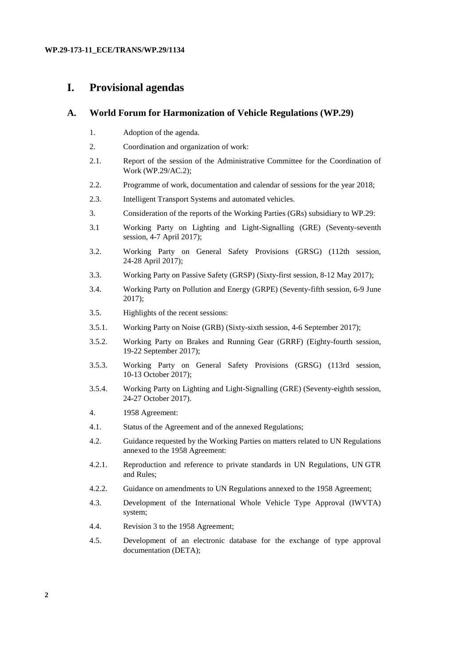## **I. Provisional agendas**

## **A. World Forum for Harmonization of Vehicle Regulations (WP.29)**

- 1. Adoption of the agenda.
- 2. Coordination and organization of work:
- 2.1. Report of the session of the Administrative Committee for the Coordination of Work (WP.29/AC.2);
- 2.2. Programme of work, documentation and calendar of sessions for the year 2018;
- 2.3. Intelligent Transport Systems and automated vehicles.
- 3. Consideration of the reports of the Working Parties (GRs) subsidiary to WP.29:
- 3.1 Working Party on Lighting and Light-Signalling (GRE) (Seventy-seventh session, 4-7 April 2017);
- 3.2. Working Party on General Safety Provisions (GRSG) (112th session, 24-28 April 2017);
- 3.3. Working Party on Passive Safety (GRSP) (Sixty-first session, 8-12 May 2017);
- 3.4. Working Party on Pollution and Energy (GRPE) (Seventy-fifth session, 6-9 June 2017);
- 3.5. Highlights of the recent sessions:
- 3.5.1. Working Party on Noise (GRB) (Sixty-sixth session, 4-6 September 2017);
- 3.5.2. Working Party on Brakes and Running Gear (GRRF) (Eighty-fourth session, 19-22 September 2017);
- 3.5.3. Working Party on General Safety Provisions (GRSG) (113rd session, 10-13 October 2017);
- 3.5.4. Working Party on Lighting and Light-Signalling (GRE) (Seventy-eighth session, 24-27 October 2017).
- 4. 1958 Agreement:
- 4.1. Status of the Agreement and of the annexed Regulations;
- 4.2. Guidance requested by the Working Parties on matters related to UN Regulations annexed to the 1958 Agreement:
- 4.2.1. Reproduction and reference to private standards in UN Regulations, UN GTR and Rules;
- 4.2.2. Guidance on amendments to UN Regulations annexed to the 1958 Agreement;
- 4.3. Development of the International Whole Vehicle Type Approval (IWVTA) system;
- 4.4. Revision 3 to the 1958 Agreement;
- 4.5. Development of an electronic database for the exchange of type approval documentation (DETA);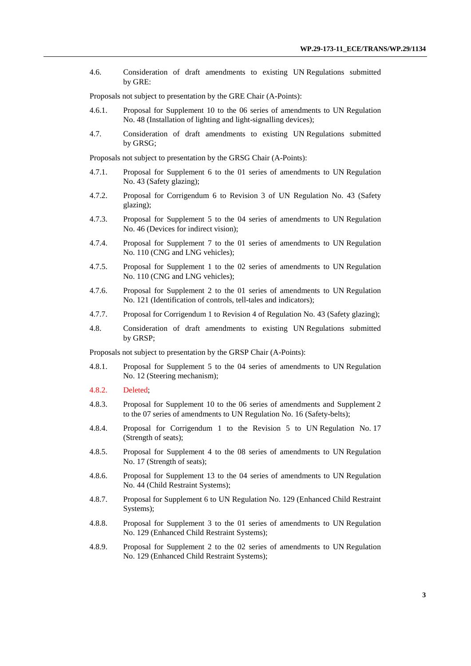4.6. Consideration of draft amendments to existing UN Regulations submitted by GRE:

Proposals not subject to presentation by the GRE Chair (A-Points):

- 4.6.1. Proposal for Supplement 10 to the 06 series of amendments to UN Regulation No. 48 (Installation of lighting and light-signalling devices);
- 4.7. Consideration of draft amendments to existing UN Regulations submitted by GRSG;

Proposals not subject to presentation by the GRSG Chair (A-Points):

- 4.7.1. Proposal for Supplement 6 to the 01 series of amendments to UN Regulation No. 43 (Safety glazing);
- 4.7.2. Proposal for Corrigendum 6 to Revision 3 of UN Regulation No. 43 (Safety glazing);
- 4.7.3. Proposal for Supplement 5 to the 04 series of amendments to UN Regulation No. 46 (Devices for indirect vision);
- 4.7.4. Proposal for Supplement 7 to the 01 series of amendments to UN Regulation No. 110 (CNG and LNG vehicles);
- 4.7.5. Proposal for Supplement 1 to the 02 series of amendments to UN Regulation No. 110 (CNG and LNG vehicles);
- 4.7.6. Proposal for Supplement 2 to the 01 series of amendments to UN Regulation No. 121 (Identification of controls, tell-tales and indicators);
- 4.7.7. Proposal for Corrigendum 1 to Revision 4 of Regulation No. 43 (Safety glazing);
- 4.8. Consideration of draft amendments to existing UN Regulations submitted by GRSP;

Proposals not subject to presentation by the GRSP Chair (A-Points):

- 4.8.1. Proposal for Supplement 5 to the 04 series of amendments to UN Regulation No. 12 (Steering mechanism);
- 4.8.2. Deleted;
- 4.8.3. Proposal for Supplement 10 to the 06 series of amendments and Supplement 2 to the 07 series of amendments to UN Regulation No. 16 (Safety-belts);
- 4.8.4. Proposal for Corrigendum 1 to the Revision 5 to UN Regulation No. 17 (Strength of seats);
- 4.8.5. Proposal for Supplement 4 to the 08 series of amendments to UN Regulation No. 17 (Strength of seats);
- 4.8.6. Proposal for Supplement 13 to the 04 series of amendments to UN Regulation No. 44 (Child Restraint Systems);
- 4.8.7. Proposal for Supplement 6 to UN Regulation No. 129 (Enhanced Child Restraint Systems);
- 4.8.8. Proposal for Supplement 3 to the 01 series of amendments to UN Regulation No. 129 (Enhanced Child Restraint Systems);
- 4.8.9. Proposal for Supplement 2 to the 02 series of amendments to UN Regulation No. 129 (Enhanced Child Restraint Systems);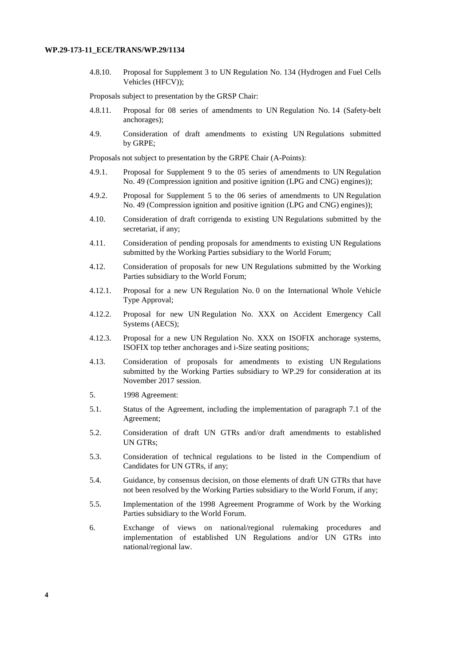4.8.10. Proposal for Supplement 3 to UN Regulation No. 134 (Hydrogen and Fuel Cells Vehicles (HFCV));

Proposals subject to presentation by the GRSP Chair:

- 4.8.11. Proposal for 08 series of amendments to UN Regulation No. 14 (Safety-belt anchorages);
- 4.9. Consideration of draft amendments to existing UN Regulations submitted by GRPE;

Proposals not subject to presentation by the GRPE Chair (A-Points):

- 4.9.1. Proposal for Supplement 9 to the 05 series of amendments to UN Regulation No. 49 (Compression ignition and positive ignition (LPG and CNG) engines));
- 4.9.2. Proposal for Supplement 5 to the 06 series of amendments to UN Regulation No. 49 (Compression ignition and positive ignition (LPG and CNG) engines));
- 4.10. Consideration of draft corrigenda to existing UN Regulations submitted by the secretariat, if any;
- 4.11. Consideration of pending proposals for amendments to existing UN Regulations submitted by the Working Parties subsidiary to the World Forum;
- 4.12. Consideration of proposals for new UN Regulations submitted by the Working Parties subsidiary to the World Forum;
- 4.12.1. Proposal for a new UN Regulation No. 0 on the International Whole Vehicle Type Approval;
- 4.12.2. Proposal for new UN Regulation No. XXX on Accident Emergency Call Systems (AECS);
- 4.12.3. Proposal for a new UN Regulation No. XXX on ISOFIX anchorage systems, ISOFIX top tether anchorages and i-Size seating positions;
- 4.13. Consideration of proposals for amendments to existing UN Regulations submitted by the Working Parties subsidiary to WP.29 for consideration at its November 2017 session.
- 5. 1998 Agreement:
- 5.1. Status of the Agreement, including the implementation of paragraph 7.1 of the Agreement;
- 5.2. Consideration of draft UN GTRs and/or draft amendments to established UN GTRs;
- 5.3. Consideration of technical regulations to be listed in the Compendium of Candidates for UN GTRs, if any;
- 5.4. Guidance, by consensus decision, on those elements of draft UN GTRs that have not been resolved by the Working Parties subsidiary to the World Forum, if any;
- 5.5. Implementation of the 1998 Agreement Programme of Work by the Working Parties subsidiary to the World Forum.
- 6. Exchange of views on national/regional rulemaking procedures and implementation of established UN Regulations and/or UN GTRs into national/regional law.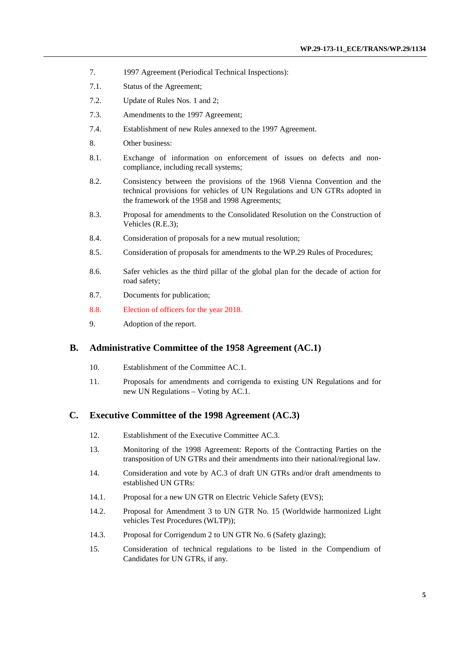- 7. 1997 Agreement (Periodical Technical Inspections):
- 7.1. Status of the Agreement;
- 7.2. Update of Rules Nos. 1 and 2;
- 7.3. Amendments to the 1997 Agreement;
- 7.4. Establishment of new Rules annexed to the 1997 Agreement.
- 8. Other business:
- 8.1. Exchange of information on enforcement of issues on defects and noncompliance, including recall systems;
- 8.2. Consistency between the provisions of the 1968 Vienna Convention and the technical provisions for vehicles of UN Regulations and UN GTRs adopted in the framework of the 1958 and 1998 Agreements;
- 8.3. Proposal for amendments to the Consolidated Resolution on the Construction of Vehicles (R.E.3);
- 8.4. Consideration of proposals for a new mutual resolution;
- 8.5. Consideration of proposals for amendments to the WP.29 Rules of Procedures;
- 8.6. Safer vehicles as the third pillar of the global plan for the decade of action for road safety;
- 8.7. [Documents for publication;](#page-16-0)
- 8.8. Election of officers for the year 2018.
- 9. Adoption of the report.

## **B. Administrative Committee of the 1958 Agreement (AC.1)**

- 10. Establishment of the Committee AC.1.
- 11. Proposals for amendments and corrigenda to existing UN Regulations and for new UN Regulations – Voting by AC.1.

## **C. Executive Committee of the 1998 Agreement (AC.3)**

- 12. Establishment of the Executive Committee AC.3.
- 13. Monitoring of the 1998 Agreement: Reports of the Contracting Parties on the transposition of UN GTRs and their amendments into their national/regional law.
- 14. Consideration and vote by AC.3 of draft UN GTRs and/or draft amendments to established UN GTRs:
- 14.1. Proposal for a new UN GTR on Electric Vehicle Safety (EVS);
- 14.2. Proposal for Amendment 3 to UN GTR No. 15 (Worldwide harmonized Light vehicles Test Procedures (WLTP));
- 14.3. Proposal for Corrigendum 2 to UN GTR No. 6 (Safety glazing);
- 15. Consideration of technical regulations to be listed in the Compendium of Candidates for UN GTRs, if any.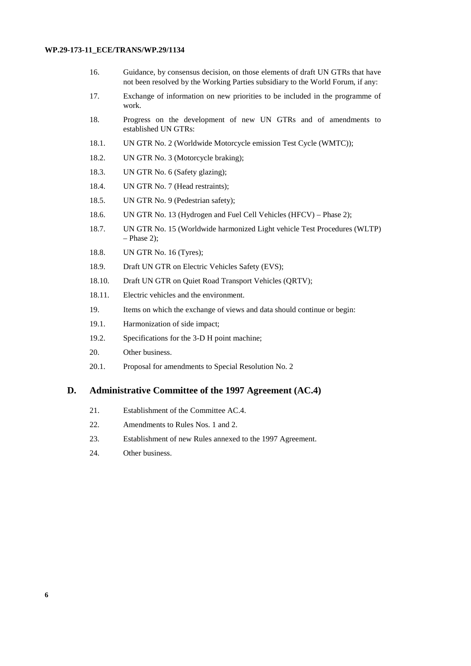- 16. Guidance, by consensus decision, on those elements of draft UN GTRs that have not been resolved by the Working Parties subsidiary to the World Forum, if any:
- 17. Exchange of information on new priorities to be included in the programme of work.
- 18. Progress on the development of new UN GTRs and of amendments to established UN GTRs:
- 18.1. UN GTR No. 2 (Worldwide Motorcycle emission Test Cycle (WMTC));
- 18.2. UN GTR No. 3 (Motorcycle braking);
- 18.3. UN GTR No. 6 (Safety glazing);
- 18.4. UN GTR No. 7 (Head restraints);
- 18.5. UN GTR No. 9 (Pedestrian safety);
- 18.6. UN GTR No. 13 (Hydrogen and Fuel Cell Vehicles (HFCV) Phase 2);
- 18.7. UN GTR No. 15 (Worldwide harmonized Light vehicle Test Procedures (WLTP)  $-$  Phase 2);
- 18.8. UN GTR No. 16 (Tyres);
- 18.9. Draft UN GTR on Electric Vehicles Safety (EVS);
- 18.10. Draft UN GTR on Quiet Road Transport Vehicles (QRTV);
- 18.11. Electric vehicles and the environment.
- 19. Items on which the exchange of views and data should continue or begin:
- 19.1. Harmonization of side impact;
- 19.2. Specifications for the 3-D H point machine;
- 20. Other business.
- 20.1. Proposal for amendments to Special Resolution No. 2

## **D. Administrative Committee of the 1997 Agreement (AC.4)**

- 21. Establishment of the Committee AC.4.
- 22. Amendments to Rules Nos. 1 and 2.
- 23. Establishment of new Rules annexed to the 1997 Agreement.
- 24. [Other business.](#page-24-0)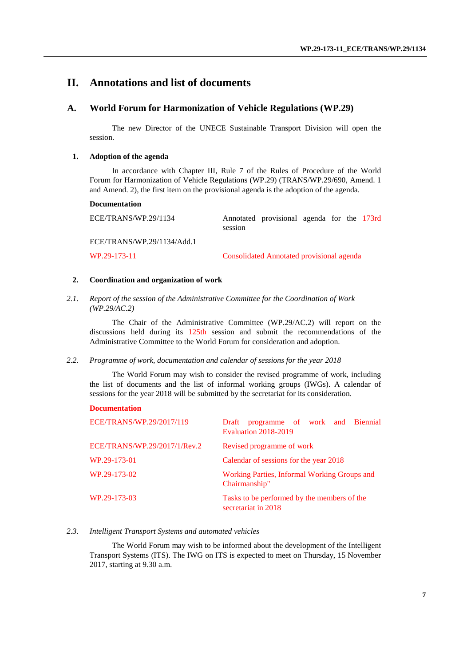## **II. Annotations and list of documents**

## **A. World Forum for Harmonization of Vehicle Regulations (WP.29)**

The new Director of the UNECE Sustainable Transport Division will open the session.

#### **1. Adoption of the agenda**

In accordance with Chapter III, Rule 7 of the Rules of Procedure of the World Forum for Harmonization of Vehicle Regulations (WP.29) (TRANS/WP.29/690, Amend. 1 and Amend. 2), the first item on the provisional agenda is the adoption of the agenda.

#### **Documentation**

| ECE/TRANS/WP.29/1134       | session | Annotated provisional agenda for the 173rd |  |  |
|----------------------------|---------|--------------------------------------------|--|--|
| ECE/TRANS/WP.29/1134/Add.1 |         |                                            |  |  |

WP.29-173-11 Consolidated Annotated provisional agenda

#### **2. Coordination and organization of work**

*2.1. Report of the session of the Administrative Committee for the Coordination of Work (WP.29/AC.2)*

The Chair of the Administrative Committee (WP.29/AC.2) will report on the discussions held during its 125th session and submit the recommendations of the Administrative Committee to the World Forum for consideration and adoption.

#### *2.2. Programme of work, documentation and calendar of sessions for the year 2018*

The World Forum may wish to consider the revised programme of work, including the list of documents and the list of informal working groups (IWGs). A calendar of sessions for the year 2018 will be submitted by the secretariat for its consideration.

#### **Documentation**

| ECE/TRANS/WP.29/2017/119     | Draft programme of work and Biennial<br>Evaluation 2018-2019       |
|------------------------------|--------------------------------------------------------------------|
| ECE/TRANS/WP.29/2017/1/Rev.2 | Revised programme of work                                          |
| WP.29-173-01                 | Calendar of sessions for the year 2018                             |
| WP.29-173-02                 | Working Parties, Informal Working Groups and<br>Chairmanship"      |
| WP.29-173-03                 | Tasks to be performed by the members of the<br>secretariat in 2018 |

## *2.3. Intelligent Transport Systems and automated vehicles*

The World Forum may wish to be informed about the development of the Intelligent Transport Systems (ITS). The IWG on ITS is expected to meet on Thursday, 15 November 2017, starting at 9.30 a.m.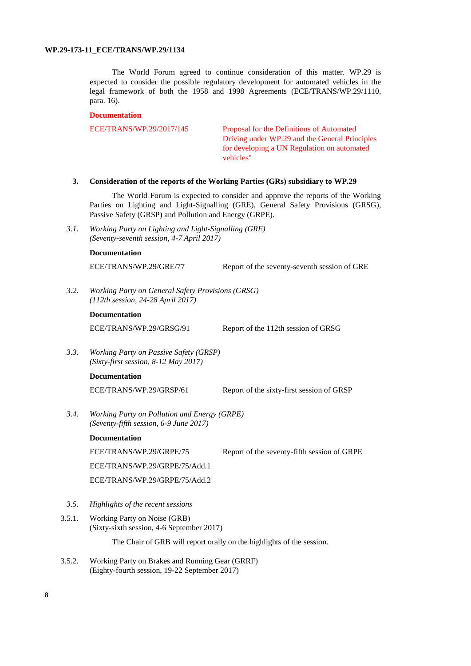The World Forum agreed to continue consideration of this matter. WP.29 is expected to consider the possible regulatory development for automated vehicles in the legal framework of both the 1958 and 1998 Agreements (ECE/TRANS/WP.29/1110, para. 16).

#### **Documentation**

ECE/TRANS/WP.29/2017/145 Proposal for the Definitions of Automated Driving under WP.29 and the General Principles for developing a UN Regulation on automated vehicles"

#### **3. Consideration of the reports of the Working Parties (GRs) subsidiary to WP.29**

The World Forum is expected to consider and approve the reports of the Working Parties on Lighting and Light-Signalling (GRE), General Safety Provisions (GRSG), Passive Safety (GRSP) and Pollution and Energy (GRPE).

*3.1. Working Party on Lighting and Light-Signalling (GRE) (Seventy-seventh session, 4-7 April 2017)*

#### **Documentation**

ECE/TRANS/WP.29/GRE/77 Report of the seventy-seventh session of GRE

*3.2. Working Party on General Safety Provisions (GRSG) (112th session, 24-28 April 2017)*

#### **Documentation**

ECE/TRANS/WP.29/GRSG/91 Report of the 112th session of GRSG

*3.3. Working Party on Passive Safety (GRSP) (Sixty-first session, 8-12 May 2017)*

## **Documentation**

ECE/TRANS/WP.29/GRSP/61 Report of the sixty-first session of GRSP

*3.4. Working Party on Pollution and Energy (GRPE) (Seventy-fifth session, 6-9 June 2017)*

## **Documentation**

ECE/TRANS/WP.29/GRPE/75 Report of the seventy-fifth session of GRPE

ECE/TRANS/WP.29/GRPE/75/Add.1

ECE/TRANS/WP.29/GRPE/75/Add.2

- *3.5. Highlights of the recent sessions*
- 3.5.1. Working Party on Noise (GRB) (Sixty-sixth session, 4-6 September 2017)

The Chair of GRB will report orally on the highlights of the session.

3.5.2. Working Party on Brakes and Running Gear (GRRF) (Eighty-fourth session, 19-22 September 2017)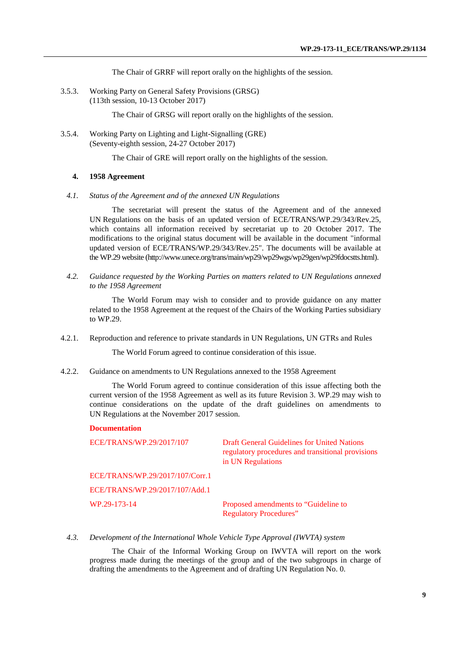The Chair of GRRF will report orally on the highlights of the session.

3.5.3. Working Party on General Safety Provisions (GRSG) (113th session, 10-13 October 2017)

The Chair of GRSG will report orally on the highlights of the session.

3.5.4. Working Party on Lighting and Light-Signalling (GRE) (Seventy-eighth session, 24-27 October 2017)

The Chair of GRE will report orally on the highlights of the session.

#### **4. 1958 Agreement**

*4.1. Status of the Agreement and of the annexed UN Regulations*

The secretariat will present the status of the Agreement and of the annexed UN Regulations on the basis of an updated version of ECE/TRANS/WP.29/343/Rev.25, which contains all information received by secretariat up to 20 October 2017. The modifications to the original status document will be available in the document "informal updated version of ECE/TRANS/WP.29/343/Rev.25". The documents will be available at the WP.29 website [\(http://www.unece.org/trans/main/wp29/wp29wgs/wp29gen/wp29fdocstts.html\)](http://www.unece.org/trans/main/wp29/wp29wgs/wp29gen/wp29fdocstts.html).

*4.2. Guidance requested by the Working Parties on matters related to UN Regulations annexed to the 1958 Agreement*

The World Forum may wish to consider and to provide guidance on any matter related to the 1958 Agreement at the request of the Chairs of the Working Parties subsidiary to WP.29.

4.2.1. Reproduction and reference to private standards in UN Regulations, UN GTRs and Rules

The World Forum agreed to continue consideration of this issue.

4.2.2. Guidance on amendments to UN Regulations annexed to the 1958 Agreement

The World Forum agreed to continue consideration of this issue affecting both the current version of the 1958 Agreement as well as its future Revision 3. WP.29 may wish to continue considerations on the update of the draft guidelines on amendments to UN Regulations at the November 2017 session.

#### **Documentation**

ECE/TRANS/WP.29/2017/107 Draft General Guidelines for United Nations regulatory procedures and transitional provisions in UN Regulations

ECE/TRANS/WP.29/2017/107/Corr.1

ECE/TRANS/WP.29/2017/107/Add.1

WP.29-173-14 Proposed amendments to "Guideline to Regulatory Procedures"

#### *4.3. Development of the International Whole Vehicle Type Approval (IWVTA) system*

The Chair of the Informal Working Group on IWVTA will report on the work progress made during the meetings of the group and of the two subgroups in charge of drafting the amendments to the Agreement and of drafting UN Regulation No. 0.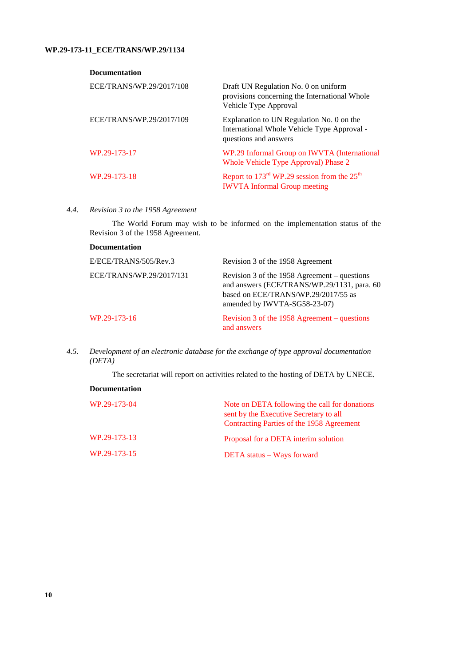## **Documentation**

| ECE/TRANS/WP.29/2017/108 | Draft UN Regulation No. 0 on uniform<br>provisions concerning the International Whole<br>Vehicle Type Approval    |
|--------------------------|-------------------------------------------------------------------------------------------------------------------|
| ECE/TRANS/WP.29/2017/109 | Explanation to UN Regulation No. 0 on the<br>International Whole Vehicle Type Approval -<br>questions and answers |
| WP.29-173-17             | WP.29 Informal Group on IWVTA (International<br>Whole Vehicle Type Approval) Phase 2                              |
| WP.29-173-18             | Report to $173^{\text{rd}}$ WP.29 session from the $25^{\text{th}}$<br><b>IWVTA</b> Informal Group meeting        |

## *4.4. Revision 3 to the 1958 Agreement*

The World Forum may wish to be informed on the implementation status of the Revision 3 of the 1958 Agreement.

| <b>Documentation</b>     |                                                                                                                                                                      |
|--------------------------|----------------------------------------------------------------------------------------------------------------------------------------------------------------------|
| E/ECE/TRANS/505/Rev.3    | Revision 3 of the 1958 Agreement                                                                                                                                     |
| ECE/TRANS/WP.29/2017/131 | Revision 3 of the 1958 Agreement $-$ questions<br>and answers (ECE/TRANS/WP.29/1131, para. 60<br>based on ECE/TRANS/WP.29/2017/55 as<br>amended by IWVTA-SG58-23-07) |
| WP.29-173-16             | Revision 3 of the 1958 Agreement – questions<br>and answers                                                                                                          |

*4.5. Development of an electronic database for the exchange of type approval documentation (DETA)*

The secretariat will report on activities related to the hosting of DETA by UNECE.

| <b>Documentation</b> |                                                                                                                                      |
|----------------------|--------------------------------------------------------------------------------------------------------------------------------------|
| WP.29-173-04         | Note on DETA following the call for donations<br>sent by the Executive Secretary to all<br>Contracting Parties of the 1958 Agreement |
| WP.29-173-13         | Proposal for a DETA interim solution                                                                                                 |
| WP.29-173-15         | DETA status – Ways forward                                                                                                           |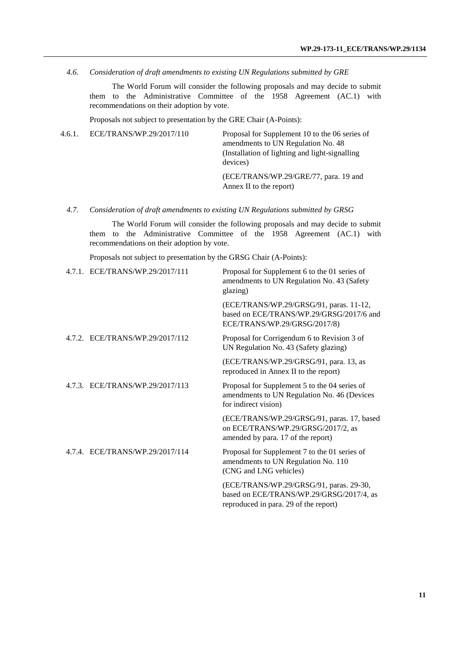*4.6. Consideration of draft amendments to existing UN Regulations submitted by GRE*

The World Forum will consider the following proposals and may decide to submit them to the Administrative Committee of the 1958 Agreement (AC.1) with recommendations on their adoption by vote.

Proposals not subject to presentation by the GRE Chair (A-Points):

4.6.1. ECE/TRANS/WP.29/2017/110 Proposal for Supplement 10 to the 06 series of amendments to UN Regulation No. 48 (Installation of lighting and light-signalling devices) (ECE/TRANS/WP.29/GRE/77, para. 19 and Annex II to the report)

## *4.7. Consideration of draft amendments to existing UN Regulations submitted by GRSG*

The World Forum will consider the following proposals and may decide to submit them to the Administrative Committee of the 1958 Agreement (AC.1) with recommendations on their adoption by vote.

Proposals not subject to presentation by the GRSG Chair (A-Points):

| 4.7.1. ECE/TRANS/WP.29/2017/111 | Proposal for Supplement 6 to the 01 series of<br>amendments to UN Regulation No. 43 (Safety<br>glazing)                      |
|---------------------------------|------------------------------------------------------------------------------------------------------------------------------|
|                                 | (ECE/TRANS/WP.29/GRSG/91, paras. 11-12,<br>based on ECE/TRANS/WP.29/GRSG/2017/6 and<br>ECE/TRANS/WP.29/GRSG/2017/8)          |
| 4.7.2. ECE/TRANS/WP.29/2017/112 | Proposal for Corrigendum 6 to Revision 3 of<br>UN Regulation No. 43 (Safety glazing)                                         |
|                                 | (ECE/TRANS/WP.29/GRSG/91, para. 13, as<br>reproduced in Annex II to the report)                                              |
| 4.7.3. ECE/TRANS/WP.29/2017/113 | Proposal for Supplement 5 to the 04 series of<br>amendments to UN Regulation No. 46 (Devices<br>for indirect vision)         |
|                                 | (ECE/TRANS/WP.29/GRSG/91, paras. 17, based<br>on ECE/TRANS/WP.29/GRSG/2017/2, as<br>amended by para. 17 of the report)       |
| 4.7.4. ECE/TRANS/WP.29/2017/114 | Proposal for Supplement 7 to the 01 series of<br>amendments to UN Regulation No. 110<br>(CNG and LNG vehicles)               |
|                                 | (ECE/TRANS/WP.29/GRSG/91, paras. 29-30,<br>based on ECE/TRANS/WP.29/GRSG/2017/4, as<br>reproduced in para. 29 of the report) |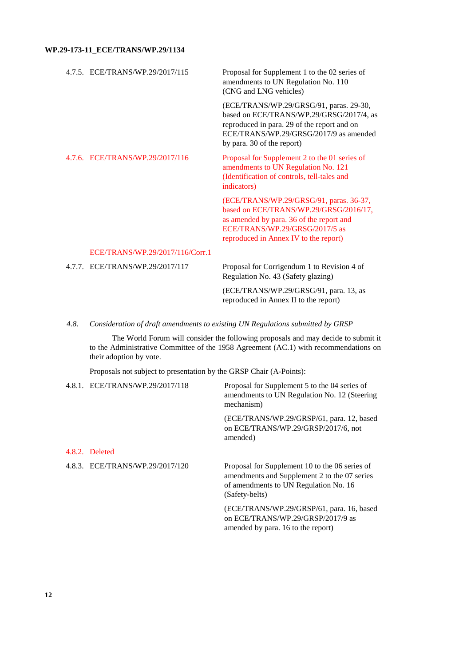|  | 4.7.5. ECE/TRANS/WP.29/2017/115 | Proposal for Supplement 1 to the 02 series of<br>amendments to UN Regulation No. 110<br>(CNG and LNG vehicles)                                                                                             |
|--|---------------------------------|------------------------------------------------------------------------------------------------------------------------------------------------------------------------------------------------------------|
|  |                                 | (ECE/TRANS/WP.29/GRSG/91, paras. 29-30,<br>based on ECE/TRANS/WP.29/GRSG/2017/4, as<br>reproduced in para. 29 of the report and on<br>ECE/TRANS/WP.29/GRSG/2017/9 as amended<br>by para. 30 of the report) |
|  | 4.7.6. ECE/TRANS/WP.29/2017/116 | Proposal for Supplement 2 to the 01 series of<br>amendments to UN Regulation No. 121<br>(Identification of controls, tell-tales and<br>indicators)                                                         |
|  |                                 | (ECE/TRANS/WP.29/GRSG/91, paras. 36-37,<br>based on ECE/TRANS/WP.29/GRSG/2016/17,<br>as amended by para. 36 of the report and<br>ECE/TRANS/WP.29/GRSG/2017/5 as<br>reproduced in Annex IV to the report)   |
|  | ECE/TRANS/WP.29/2017/116/Corr.1 |                                                                                                                                                                                                            |
|  | 4.7.7. ECE/TRANS/WP.29/2017/117 | Proposal for Corrigendum 1 to Revision 4 of<br>Regulation No. 43 (Safety glazing)                                                                                                                          |
|  |                                 | $TCT$ $TCD$ $\lambda$ $\lambda$ $IQ$ $\lambda$ $I/D$ $\lambda$ $\alpha$ $ICD$ $\alpha$ $\alpha$ $\alpha$ $\beta$<br>$\sim$                                                                                 |

(ECE/TRANS/WP.29/GRSG/91, para. 13, as reproduced in Annex II to the report)

amended by para. 16 to the report)

## *4.8. Consideration of draft amendments to existing UN Regulations submitted by GRSP*

The World Forum will consider the following proposals and may decide to submit it to the Administrative Committee of the 1958 Agreement (AC.1) with recommendations on their adoption by vote.

Proposals not subject to presentation by the GRSP Chair (A-Points):

| 4.8.1. ECE/TRANS/WP.29/2017/118 | Proposal for Supplement 5 to the 04 series of<br>amendments to UN Regulation No. 12 (Steering)<br>mechanism)                                              |
|---------------------------------|-----------------------------------------------------------------------------------------------------------------------------------------------------------|
|                                 | (ECE/TRANS/WP.29/GRSP/61, para. 12, based<br>on ECE/TRANS/WP.29/GRSP/2017/6, not<br>amended)                                                              |
| 4.8.2. Deleted                  |                                                                                                                                                           |
| 4.8.3. ECE/TRANS/WP.29/2017/120 | Proposal for Supplement 10 to the 06 series of<br>amendments and Supplement 2 to the 07 series<br>of amendments to UN Regulation No. 16<br>(Safety-belts) |
|                                 | (ECE/TRANS/WP.29/GRSP/61, para. 16, based<br>on ECE/TRANS/WP.29/GRSP/2017/9 as                                                                            |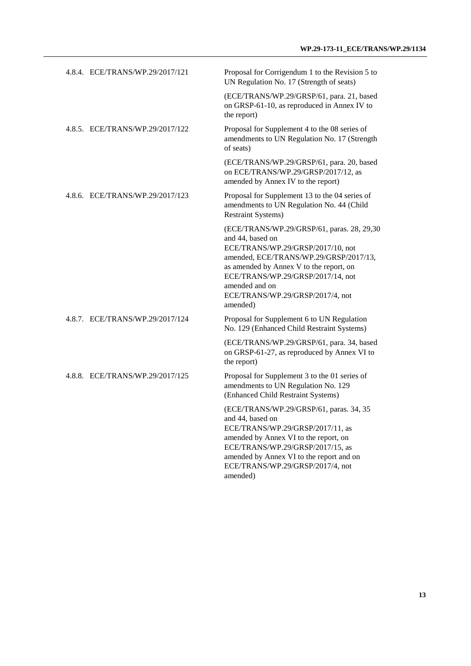| 4.8.4. ECE/TRANS/WP.29/2017/121 | Proposal for Corrigendum 1 to the Revision 5 to<br>UN Regulation No. 17 (Strength of seats)                                                                                                                                                                                                     |
|---------------------------------|-------------------------------------------------------------------------------------------------------------------------------------------------------------------------------------------------------------------------------------------------------------------------------------------------|
|                                 | (ECE/TRANS/WP.29/GRSP/61, para. 21, based<br>on GRSP-61-10, as reproduced in Annex IV to<br>the report)                                                                                                                                                                                         |
| 4.8.5. ECE/TRANS/WP.29/2017/122 | Proposal for Supplement 4 to the 08 series of<br>amendments to UN Regulation No. 17 (Strength<br>of seats)                                                                                                                                                                                      |
|                                 | (ECE/TRANS/WP.29/GRSP/61, para. 20, based<br>on ECE/TRANS/WP.29/GRSP/2017/12, as<br>amended by Annex IV to the report)                                                                                                                                                                          |
| 4.8.6. ECE/TRANS/WP.29/2017/123 | Proposal for Supplement 13 to the 04 series of<br>amendments to UN Regulation No. 44 (Child<br><b>Restraint Systems)</b>                                                                                                                                                                        |
|                                 | (ECE/TRANS/WP.29/GRSP/61, paras. 28, 29,30<br>and 44, based on<br>ECE/TRANS/WP.29/GRSP/2017/10, not<br>amended, ECE/TRANS/WP.29/GRSP/2017/13,<br>as amended by Annex V to the report, on<br>ECE/TRANS/WP.29/GRSP/2017/14, not<br>amended and on<br>ECE/TRANS/WP.29/GRSP/2017/4, not<br>amended) |
| 4.8.7. ECE/TRANS/WP.29/2017/124 | Proposal for Supplement 6 to UN Regulation<br>No. 129 (Enhanced Child Restraint Systems)                                                                                                                                                                                                        |
|                                 | (ECE/TRANS/WP.29/GRSP/61, para. 34, based<br>on GRSP-61-27, as reproduced by Annex VI to<br>the report)                                                                                                                                                                                         |
| 4.8.8. ECE/TRANS/WP.29/2017/125 | Proposal for Supplement 3 to the 01 series of<br>amendments to UN Regulation No. 129<br>(Enhanced Child Restraint Systems)                                                                                                                                                                      |
|                                 | (ECE/TRANS/WP.29/GRSP/61, paras. 34, 35<br>and 44, based on<br>ECE/TRANS/WP.29/GRSP/2017/11, as<br>amended by Annex VI to the report, on<br>ECE/TRANS/WP.29/GRSP/2017/15, as<br>amended by Annex VI to the report and on<br>ECE/TRANS/WP.29/GRSP/2017/4, not                                    |

amended)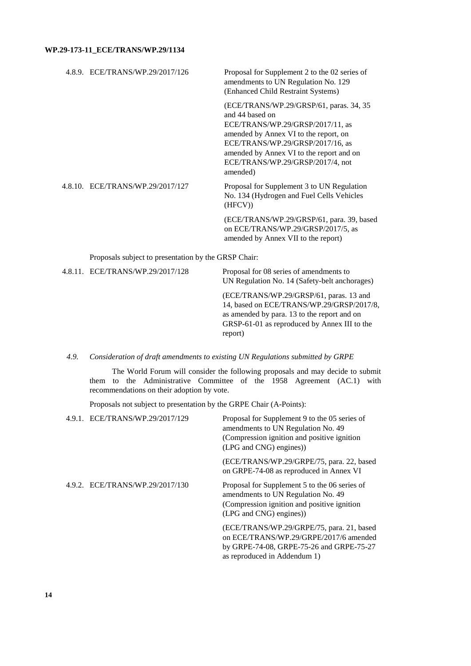| 4.8.9. ECE/TRANS/WP.29/2017/126                      | Proposal for Supplement 2 to the 02 series of<br>amendments to UN Regulation No. 129<br>(Enhanced Child Restraint Systems)                                                                                                                                               |
|------------------------------------------------------|--------------------------------------------------------------------------------------------------------------------------------------------------------------------------------------------------------------------------------------------------------------------------|
|                                                      | (ECE/TRANS/WP.29/GRSP/61, paras. 34, 35)<br>and 44 based on<br>ECE/TRANS/WP.29/GRSP/2017/11, as<br>amended by Annex VI to the report, on<br>ECE/TRANS/WP.29/GRSP/2017/16, as<br>amended by Annex VI to the report and on<br>ECE/TRANS/WP.29/GRSP/2017/4, not<br>amended) |
| 4.8.10. ECE/TRANS/WP.29/2017/127                     | Proposal for Supplement 3 to UN Regulation<br>No. 134 (Hydrogen and Fuel Cells Vehicles<br>(HFCV)                                                                                                                                                                        |
|                                                      | (ECE/TRANS/WP.29/GRSP/61, para. 39, based<br>on ECE/TRANS/WP.29/GRSP/2017/5, as<br>amended by Annex VII to the report)                                                                                                                                                   |
| Proposals subject to presentation by the GRSP Chair: |                                                                                                                                                                                                                                                                          |

| 4.8.11. ECE/TRANS/WP.29/2017/128 | Proposal for 08 series of amendments to<br>UN Regulation No. 14 (Safety-belt anchorages)                                                                                                       |
|----------------------------------|------------------------------------------------------------------------------------------------------------------------------------------------------------------------------------------------|
|                                  | (ECE/TRANS/WP.29/GRSP/61, paras. 13 and<br>14, based on ECE/TRANS/WP.29/GRSP/2017/8,<br>as amended by para. 13 to the report and on<br>GRSP-61-01 as reproduced by Annex III to the<br>report) |

## *4.9. Consideration of draft amendments to existing UN Regulations submitted by GRPE*

The World Forum will consider the following proposals and may decide to submit them to the Administrative Committee of the 1958 Agreement (AC.1) with recommendations on their adoption by vote.

Proposals not subject to presentation by the GRPE Chair (A-Points):

| 4.9.1. ECE/TRANS/WP.29/2017/129 | Proposal for Supplement 9 to the 05 series of<br>amendments to UN Regulation No. 49<br>(Compression ignition and positive ignition)<br>(LPG and CNG) engines))  |
|---------------------------------|-----------------------------------------------------------------------------------------------------------------------------------------------------------------|
|                                 | (ECE/TRANS/WP.29/GRPE/75, para. 22, based<br>on GRPE-74-08 as reproduced in Annex VI                                                                            |
| 4.9.2. ECE/TRANS/WP.29/2017/130 | Proposal for Supplement 5 to the 06 series of<br>amendments to UN Regulation No. 49<br>(Compression ignition and positive ignition<br>(LPG and CNG) engines))   |
|                                 | (ECE/TRANS/WP.29/GRPE/75, para. 21, based<br>on ECE/TRANS/WP.29/GRPE/2017/6 amended<br>by GRPE-74-08, GRPE-75-26 and GRPE-75-27<br>as reproduced in Addendum 1) |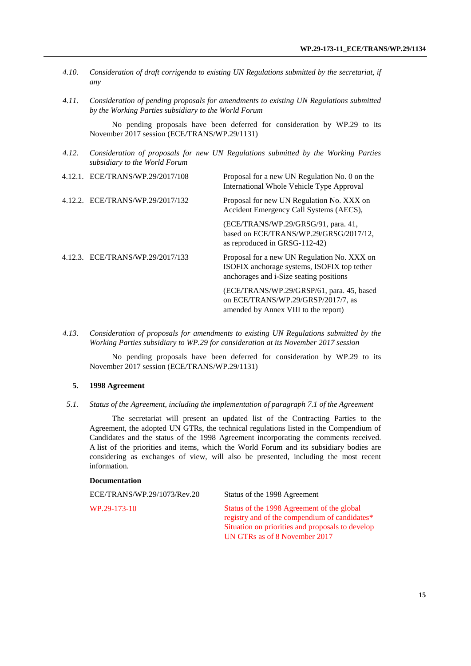- *4.10. Consideration of draft corrigenda to existing UN Regulations submitted by the secretariat, if any 4.11. Consideration of pending proposals for amendments to existing UN Regulations submitted*
- *by the Working Parties subsidiary to the World Forum*

No pending proposals have been deferred for consideration by WP.29 to its November 2017 session (ECE/TRANS/WP.29/1131)

*4.12. Consideration of proposals for new UN Regulations submitted by the Working Parties subsidiary to the World Forum*

|                                  | 4.12.1. ECE/TRANS/WP.29/2017/108 | Proposal for a new UN Regulation No. 0 on the<br>International Whole Vehicle Type Approval                                            |
|----------------------------------|----------------------------------|---------------------------------------------------------------------------------------------------------------------------------------|
| 4.12.2. ECE/TRANS/WP.29/2017/132 |                                  | Proposal for new UN Regulation No. XXX on<br>Accident Emergency Call Systems (AECS),                                                  |
|                                  |                                  | (ECE/TRANS/WP.29/GRSG/91, para. 41,<br>based on ECE/TRANS/WP.29/GRSG/2017/12,<br>as reproduced in GRSG-112-42)                        |
|                                  | 4.12.3. ECE/TRANS/WP.29/2017/133 | Proposal for a new UN Regulation No. XXX on<br>ISOFIX anchorage systems, ISOFIX top tether<br>anchorages and i-Size seating positions |
|                                  |                                  | (ECE/TRANS/WP.29/GRSP/61, para. 45, based<br>on ECE/TRANS/WP.29/GRSP/2017/7, as                                                       |

*4.13. Consideration of proposals for amendments to existing UN Regulations submitted by the Working Parties subsidiary to WP.29 for consideration at its November 2017 session*

No pending proposals have been deferred for consideration by WP.29 to its November 2017 session (ECE/TRANS/WP.29/1131)

amended by Annex VIII to the report)

## **5. 1998 Agreement**

*5.1. Status of the Agreement, including the implementation of paragraph 7.1 of the Agreement*

The secretariat will present an updated list of the Contracting Parties to the Agreement, the adopted UN GTRs, the technical regulations listed in the Compendium of Candidates and the status of the 1998 Agreement incorporating the comments received. A list of the priorities and items, which the World Forum and its subsidiary bodies are considering as exchanges of view, will also be presented, including the most recent information.

#### **Documentation**

| ECE/TRANS/WP.29/1073/Rev.20 | Status of the 1998 Agreement                                                                |
|-----------------------------|---------------------------------------------------------------------------------------------|
| WP.29-173-10                | Status of the 1998 Agreement of the global<br>registry and of the compendium of candidates* |
|                             | Situation on priorities and proposals to develop                                            |
|                             | UN GTRs as of 8 November 2017                                                               |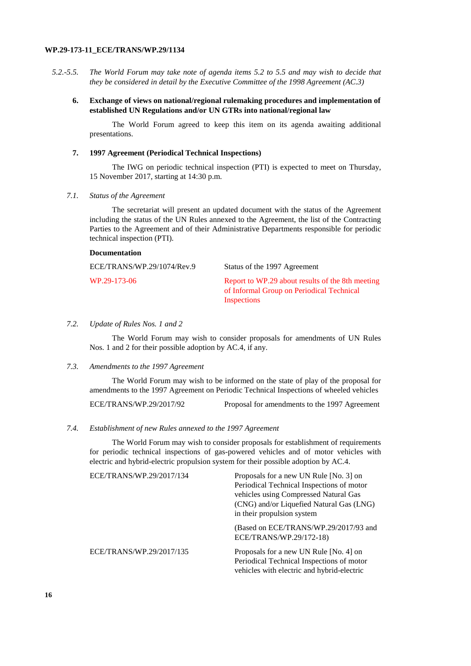- *5.2.-5.5. The World Forum may take note of agenda items 5.2 to 5.5 and may wish to decide that they be considered in detail by the Executive Committee of the 1998 Agreement (AC.3)*
	- **6. Exchange of views on national/regional rulemaking procedures and implementation of established UN Regulations and/or UN GTRs into national/regional law**

The World Forum agreed to keep this item on its agenda awaiting additional presentations.

#### **7. 1997 Agreement (Periodical Technical Inspections)**

The IWG on periodic technical inspection (PTI) is expected to meet on Thursday, 15 November 2017, starting at 14:30 p.m.

## *7.1. Status of the Agreement*

**Documentation**

The secretariat will present an updated document with the status of the Agreement including the status of the UN Rules annexed to the Agreement, the list of the Contracting Parties to the Agreement and of their Administrative Departments responsible for periodic technical inspection (PTI).

| ECE/TRANS/WP.29/1074/Rev.9 | Status of the 1997 Agreement                                                                                 |
|----------------------------|--------------------------------------------------------------------------------------------------------------|
| WP.29-173-06               | Report to WP.29 about results of the 8th meeting<br>of Informal Group on Periodical Technical<br>Inspections |

#### *7.2. Update of Rules Nos. 1 and 2*

The World Forum may wish to consider proposals for amendments of UN Rules Nos. 1 and 2 for their possible adoption by AC.4, if any.

#### *7.3. Amendments to the 1997 Agreement*

The World Forum may wish to be informed on the state of play of the proposal for amendments to the 1997 Agreement on Periodic Technical Inspections of wheeled vehicles

ECE/TRANS/WP.29/2017/92 Proposal for amendments to the 1997 Agreement

#### *7.4. Establishment of new Rules annexed to the 1997 Agreement*

The World Forum may wish to consider proposals for establishment of requirements for periodic technical inspections of gas-powered vehicles and of motor vehicles with electric and hybrid-electric propulsion system for their possible adoption by AC.4.

| ECE/TRANS/WP.29/2017/134 | Proposals for a new UN Rule [No. 3] on     |
|--------------------------|--------------------------------------------|
|                          | Periodical Technical Inspections of motor  |
|                          | vehicles using Compressed Natural Gas      |
|                          | (CNG) and/or Liquefied Natural Gas (LNG)   |
|                          | in their propulsion system                 |
|                          | (Based on ECE/TRANS/WP.29/2017/93 and      |
|                          | ECE/TRANS/WP.29/172-18)                    |
| ECE/TRANS/WP.29/2017/135 | Proposals for a new UN Rule [No. 4] on     |
|                          | Periodical Technical Inspections of motor  |
|                          | vehicles with electric and hybrid-electric |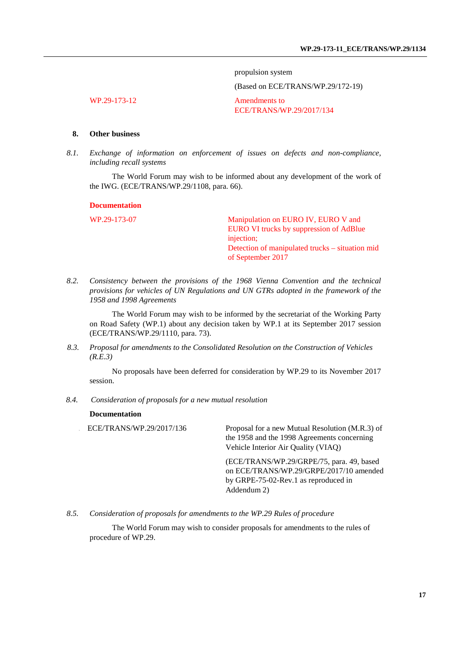propulsion system

(Based on ECE/TRANS/WP.29/172-19)

WP.29-173-12 Amendments to

ECE/TRANS/WP.29/2017/134

## **8. Other business**

*8.1. Exchange of information on enforcement of issues on defects and non-compliance, including recall systems*

The World Forum may wish to be informed about any development of the work of the IWG. (ECE/TRANS/WP.29/1108, para. 66).

#### **Documentation**

WP.29-173-07 Manipulation on EURO IV, EURO V and EURO VI trucks by suppression of AdBlue injection; Detection of manipulated trucks – situation mid of September 2017

*8.2. Consistency between the provisions of the 1968 Vienna Convention and the technical provisions for vehicles of UN Regulations and UN GTRs adopted in the framework of the 1958 and 1998 Agreements*

The World Forum may wish to be informed by the secretariat of the Working Party on Road Safety (WP.1) about any decision taken by WP.1 at its September 2017 session (ECE/TRANS/WP.29/1110, para. 73).

*8.3. Proposal for amendments to the Consolidated Resolution on the Construction of Vehicles (R.E.3)*

No proposals have been deferred for consideration by WP.29 to its November 2017 session.

<span id="page-16-0"></span>*8.4. Consideration of proposals for a new mutual resolution*

#### **Documentation**

ECE/TRANS/WP.29/2017/136 Proposal for a new Mutual Resolution (M.R.3) of the 1958 and the 1998 Agreements concerning Vehicle Interior Air Quality (VIAQ)

> (ECE/TRANS/WP.29/GRPE/75, para. 49, based on ECE/TRANS/WP.29/GRPE/2017/10 amended by GRPE-75-02-Rev.1 as reproduced in Addendum 2)

*8.5. Consideration of proposals for amendments to the WP.29 Rules of procedure*

The World Forum may wish to consider proposals for amendments to the rules of procedure of WP.29.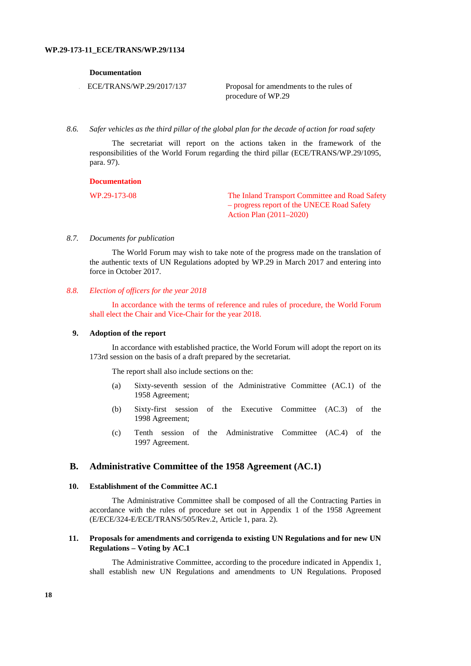#### **Documentation**

. ECE/TRANS/WP.29/2017/137 Proposal for amendments to the rules of procedure of WP.29

*8.6. Safer vehicles as the third pillar of the global plan for the decade of action for road safety*

The secretariat will report on the actions taken in the framework of the responsibilities of the World Forum regarding the third pillar (ECE/TRANS/WP.29/1095, para. 97).

#### **Documentation**

WP.29-173-08 The Inland Transport Committee and Road Safety – progress report of the UNECE Road Safety Action Plan (2011–2020)

### *8.7. Documents for publication*

The World Forum may wish to take note of the progress made on the translation of the authentic texts of UN Regulations adopted by WP.29 in March 2017 and entering into force in October 2017.

## *8.8. Election of officers for the year 2018*

In accordance with the terms of reference and rules of procedure, the World Forum shall elect the Chair and Vice-Chair for the year 2018.

#### **9. Adoption of the report**

In accordance with established practice, the World Forum will adopt the report on its 173rd session on the basis of a draft prepared by the secretariat.

The report shall also include sections on the:

- (a) Sixty-seventh session of the Administrative Committee (AC.1) of the 1958 Agreement;
- (b) Sixty-first session of the Executive Committee (AC.3) of the 1998 Agreement;
- (c) Tenth session of the Administrative Committee (AC.4) of the 1997 Agreement.

## **B. Administrative Committee of the 1958 Agreement (AC.1)**

#### **10. Establishment of the Committee AC.1**

The Administrative Committee shall be composed of all the Contracting Parties in accordance with the rules of procedure set out in Appendix 1 of the 1958 Agreement (E/ECE/324-E/ECE/TRANS/505/Rev.2, Article 1, para. 2).

### **11. Proposals for amendments and corrigenda to existing UN Regulations and for new UN Regulations – Voting by AC.1**

The Administrative Committee, according to the procedure indicated in Appendix 1, shall establish new UN Regulations and amendments to UN Regulations. Proposed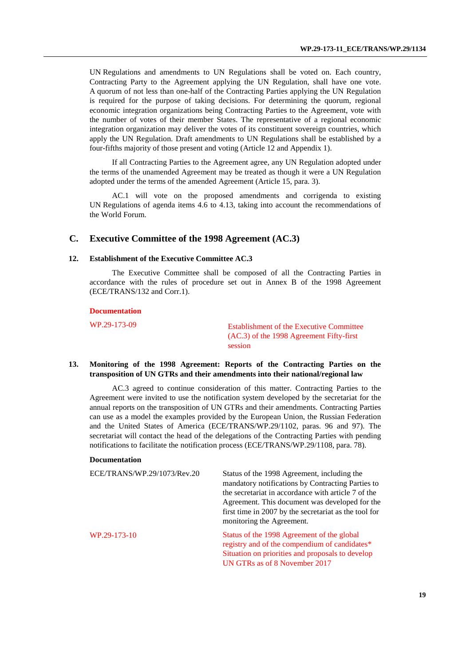UN Regulations and amendments to UN Regulations shall be voted on. Each country, Contracting Party to the Agreement applying the UN Regulation, shall have one vote. A quorum of not less than one-half of the Contracting Parties applying the UN Regulation is required for the purpose of taking decisions. For determining the quorum, regional economic integration organizations being Contracting Parties to the Agreement, vote with the number of votes of their member States. The representative of a regional economic integration organization may deliver the votes of its constituent sovereign countries, which apply the UN Regulation. Draft amendments to UN Regulations shall be established by a four-fifths majority of those present and voting (Article 12 and Appendix 1).

If all Contracting Parties to the Agreement agree, any UN Regulation adopted under the terms of the unamended Agreement may be treated as though it were a UN Regulation adopted under the terms of the amended Agreement (Article 15, para. 3).

AC.1 will vote on the proposed amendments and corrigenda to existing UN Regulations of agenda items 4.6 to 4.13, taking into account the recommendations of the World Forum.

## **C. Executive Committee of the 1998 Agreement (AC.3)**

### **12. Establishment of the Executive Committee AC.3**

The Executive Committee shall be composed of all the Contracting Parties in accordance with the rules of procedure set out in Annex B of the 1998 Agreement (ECE/TRANS/132 and Corr.1).

#### **Documentation**

WP.29-173-09 Establishment of the Executive Committee (AC.3) of the 1998 Agreement Fifty-first session

## **13. Monitoring of the 1998 Agreement: Reports of the Contracting Parties on the transposition of UN GTRs and their amendments into their national/regional law**

AC.3 agreed to continue consideration of this matter. Contracting Parties to the Agreement were invited to use the notification system developed by the secretariat for the annual reports on the transposition of UN GTRs and their amendments. Contracting Parties can use as a model the examples provided by the European Union, the Russian Federation and the United States of America (ECE/TRANS/WP.29/1102, paras. 96 and 97). The secretariat will contact the head of the delegations of the Contracting Parties with pending notifications to facilitate the notification process (ECE/TRANS/WP.29/1108, para. 78).

#### **Documentation**

| ECE/TRANS/WP.29/1073/Rev.20 | Status of the 1998 Agreement, including the<br>mandatory notifications by Contracting Parties to<br>the secretariat in accordance with article 7 of the<br>Agreement. This document was developed for the<br>first time in 2007 by the secretariat as the tool for<br>monitoring the Agreement. |
|-----------------------------|-------------------------------------------------------------------------------------------------------------------------------------------------------------------------------------------------------------------------------------------------------------------------------------------------|
| WP.29-173-10                | Status of the 1998 Agreement of the global<br>registry and of the compendium of candidates*<br>Situation on priorities and proposals to develop<br>UN GTRs as of 8 November 2017                                                                                                                |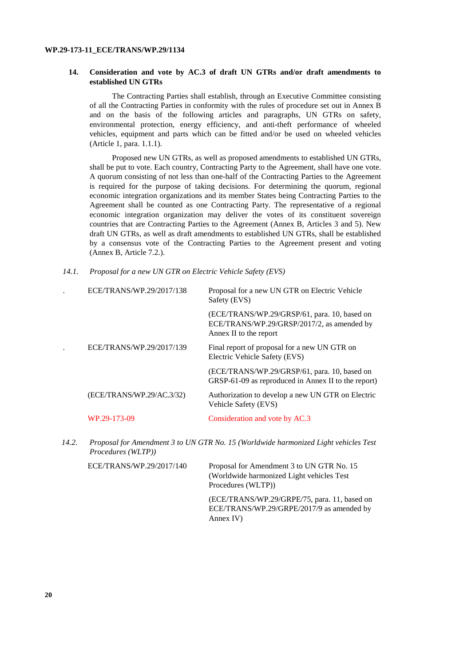#### **14. Consideration and vote by AC.3 of draft UN GTRs and/or draft amendments to established UN GTRs**

The Contracting Parties shall establish, through an Executive Committee consisting of all the Contracting Parties in conformity with the rules of procedure set out in Annex B and on the basis of the following articles and paragraphs, UN GTRs on safety, environmental protection, energy efficiency, and anti-theft performance of wheeled vehicles, equipment and parts which can be fitted and/or be used on wheeled vehicles (Article 1, para. 1.1.1).

Proposed new UN GTRs, as well as proposed amendments to established UN GTRs, shall be put to vote. Each country, Contracting Party to the Agreement, shall have one vote. A quorum consisting of not less than one-half of the Contracting Parties to the Agreement is required for the purpose of taking decisions. For determining the quorum, regional economic integration organizations and its member States being Contracting Parties to the Agreement shall be counted as one Contracting Party. The representative of a regional economic integration organization may deliver the votes of its constituent sovereign countries that are Contracting Parties to the Agreement (Annex B, Articles 3 and 5). New draft UN GTRs, as well as draft amendments to established UN GTRs, shall be established by a consensus vote of the Contracting Parties to the Agreement present and voting (Annex B, Article 7.2.).

*14.1. Proposal for a new UN GTR on Electric Vehicle Safety (EVS)*

| ECE/TRANS/WP.29/2017/138  | Proposal for a new UN GTR on Electric Vehicle<br>Safety (EVS)                                                        |
|---------------------------|----------------------------------------------------------------------------------------------------------------------|
|                           | (ECE/TRANS/WP.29/GRSP/61, para. 10, based on<br>ECE/TRANS/WP.29/GRSP/2017/2, as amended by<br>Annex II to the report |
| ECE/TRANS/WP.29/2017/139  | Final report of proposal for a new UN GTR on<br>Electric Vehicle Safety (EVS)                                        |
|                           | (ECE/TRANS/WP.29/GRSP/61, para. 10, based on<br>GRSP-61-09 as reproduced in Annex II to the report)                  |
| (ECE/TRANS/WP.29/AC.3/32) | Authorization to develop a new UN GTR on Electric<br>Vehicle Safety (EVS)                                            |
| WP.29-173-09              | Consideration and vote by AC.3                                                                                       |
|                           |                                                                                                                      |

*14.2. Proposal for Amendment 3 to UN GTR No. 15 (Worldwide harmonized Light vehicles Test Procedures (WLTP))*

| ECE/TRANS/WP.29/2017/140 | Proposal for Amendment 3 to UN GTR No. 15<br>(Worldwide harmonized Light vehicles Test<br>Procedures (WLTP)) |
|--------------------------|--------------------------------------------------------------------------------------------------------------|
|                          | (ECE/TRANS/WP.29/GRPE/75, para. 11, based on<br>ECE/TRANS/WP.29/GRPE/2017/9 as amended by<br>Annex $IV$ )    |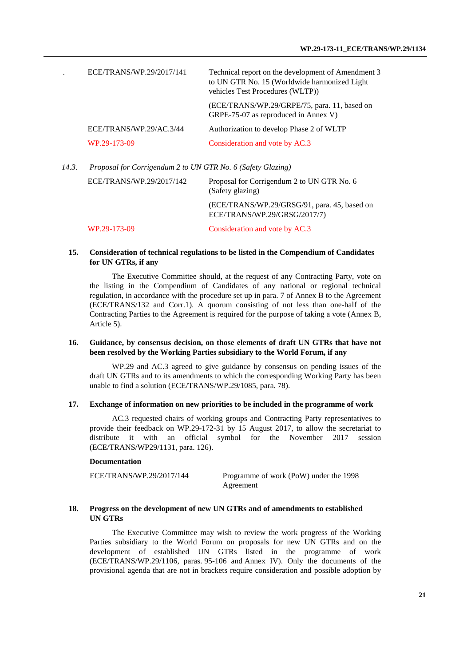| ECE/TRANS/WP.29/2017/141 | Technical report on the development of Amendment 3<br>to UN GTR No. 15 (Worldwide harmonized Light<br>vehicles Test Procedures (WLTP)) |
|--------------------------|----------------------------------------------------------------------------------------------------------------------------------------|
|                          | (ECE/TRANS/WP.29/GRPE/75, para. 11, based on<br>GRPE-75-07 as reproduced in Annex V)                                                   |
| ECE/TRANS/WP.29/AC.3/44  | Authorization to develop Phase 2 of WLTP                                                                                               |
| WP.29-173-09             | Consideration and vote by AC.3                                                                                                         |
|                          |                                                                                                                                        |

*14.3. Proposal for Corrigendum 2 to UN GTR No. 6 (Safety Glazing)*

| ECE/TRANS/WP.29/2017/142 | Proposal for Corrigendum 2 to UN GTR No. 6<br>(Safety glazing)               |
|--------------------------|------------------------------------------------------------------------------|
|                          | (ECE/TRANS/WP.29/GRSG/91, para. 45, based on<br>ECE/TRANS/WP.29/GRSG/2017/7) |
| WP.29-173-09             | Consideration and vote by AC.3                                               |

## **15. Consideration of technical regulations to be listed in the Compendium of Candidates for UN GTRs, if any**

The Executive Committee should, at the request of any Contracting Party, vote on the listing in the Compendium of Candidates of any national or regional technical regulation, in accordance with the procedure set up in para. 7 of Annex B to the Agreement (ECE/TRANS/132 and Corr.1). A quorum consisting of not less than one-half of the Contracting Parties to the Agreement is required for the purpose of taking a vote (Annex B, Article 5).

## **16. Guidance, by consensus decision, on those elements of draft UN GTRs that have not been resolved by the Working Parties subsidiary to the World Forum, if any**

WP.29 and AC.3 agreed to give guidance by consensus on pending issues of the draft UN GTRs and to its amendments to which the corresponding Working Party has been unable to find a solution (ECE/TRANS/WP.29/1085, para. 78).

## **17. Exchange of information on new priorities to be included in the programme of work**

AC.3 requested chairs of working groups and Contracting Party representatives to provide their feedback on WP.29-172-31 by 15 August 2017, to allow the secretariat to distribute it with an official symbol for the November 2017 session (ECE/TRANS/WP29/1131, para. 126).

#### **Documentation**

ECE/TRANS/WP.29/2017/144 Programme of work (PoW) under the 1998 Agreement

## **18. Progress on the development of new UN GTRs and of amendments to established UN GTRs**

The Executive Committee may wish to review the work progress of the Working Parties subsidiary to the World Forum on proposals for new UN GTRs and on the development of established UN GTRs listed in the programme of work (ECE/TRANS/WP.29/1106, paras. 95-106 and Annex IV). Only the documents of the provisional agenda that are not in brackets require consideration and possible adoption by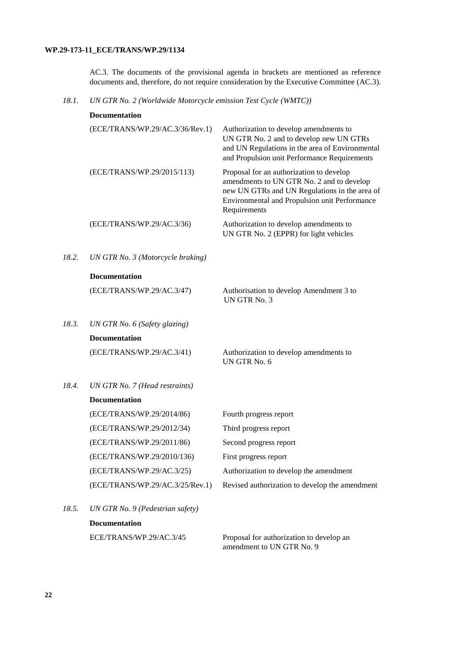AC.3. The documents of the provisional agenda in brackets are mentioned as reference documents and, therefore, do not require consideration by the Executive Committee (AC.3).

*18.1. UN GTR No. 2 (Worldwide Motorcycle emission Test Cycle (WMTC))*

|       | <b>Documentation</b>              |                                                                                                                                                                                                         |
|-------|-----------------------------------|---------------------------------------------------------------------------------------------------------------------------------------------------------------------------------------------------------|
|       | (ECE/TRANS/WP.29/AC.3/36/Rev.1)   | Authorization to develop amendments to<br>UN GTR No. 2 and to develop new UN GTRs<br>and UN Regulations in the area of Environmental<br>and Propulsion unit Performance Requirements                    |
|       | (ECE/TRANS/WP.29/2015/113)        | Proposal for an authorization to develop<br>amendments to UN GTR No. 2 and to develop<br>new UN GTRs and UN Regulations in the area of<br>Environmental and Propulsion unit Performance<br>Requirements |
|       | (ECE/TRANS/WP.29/AC.3/36)         | Authorization to develop amendments to<br>UN GTR No. 2 (EPPR) for light vehicles                                                                                                                        |
| 18.2. | UN GTR No. 3 (Motorcycle braking) |                                                                                                                                                                                                         |
|       | <b>Documentation</b>              |                                                                                                                                                                                                         |
|       | (ECE/TRANS/WP.29/AC.3/47)         | Authorisation to develop Amendment 3 to<br>UN GTR No. 3                                                                                                                                                 |
| 18.3. | UN GTR No. 6 (Safety glazing)     |                                                                                                                                                                                                         |
|       | <b>Documentation</b>              |                                                                                                                                                                                                         |
|       | (ECE/TRANS/WP.29/AC.3/41)         | Authorization to develop amendments to<br>UN GTR No. 6                                                                                                                                                  |
| 18.4. | UN GTR No. 7 (Head restraints)    |                                                                                                                                                                                                         |
|       | <b>Documentation</b>              |                                                                                                                                                                                                         |
|       | (ECE/TRANS/WP.29/2014/86)         | Fourth progress report                                                                                                                                                                                  |
|       | (ECE/TRANS/WP.29/2012/34)         | Third progress report                                                                                                                                                                                   |
|       | (ECE/TRANS/WP.29/2011/86)         | Second progress report                                                                                                                                                                                  |
|       | (ECE/TRANS/WP.29/2010/136)        | First progress report                                                                                                                                                                                   |
|       | (ECE/TRANS/WP.29/AC.3/25)         | Authorization to develop the amendment                                                                                                                                                                  |
|       | (ECE/TRANS/WP.29/AC.3/25/Rev.1)   | Revised authorization to develop the amendment                                                                                                                                                          |
| 18.5. | UN GTR No. 9 (Pedestrian safety)  |                                                                                                                                                                                                         |
|       | <b>Documentation</b>              |                                                                                                                                                                                                         |

ECE/TRANS/WP.29/AC.3/45 Proposal for authorization to develop an

amendment to UN GTR No. 9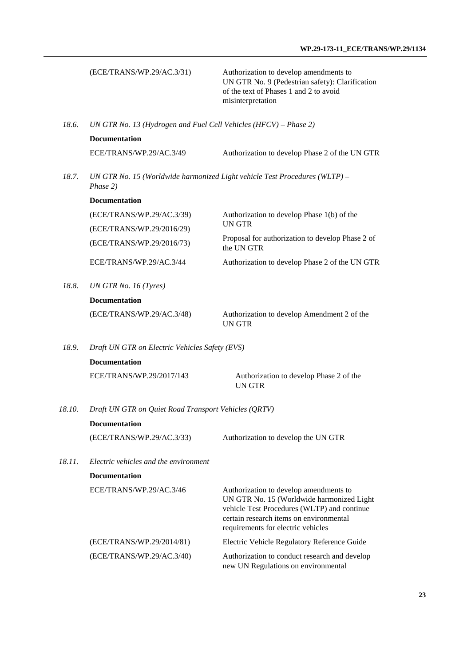|        | (ECE/TRANS/WP.29/AC.3/31)                                                              | Authorization to develop amendments to<br>UN GTR No. 9 (Pedestrian safety): Clarification<br>of the text of Phases 1 and 2 to avoid<br>misinterpretation                                                            |  |  |
|--------|----------------------------------------------------------------------------------------|---------------------------------------------------------------------------------------------------------------------------------------------------------------------------------------------------------------------|--|--|
| 18.6.  | UN GTR No. 13 (Hydrogen and Fuel Cell Vehicles (HFCV) - Phase 2)                       |                                                                                                                                                                                                                     |  |  |
|        | <b>Documentation</b>                                                                   |                                                                                                                                                                                                                     |  |  |
|        | ECE/TRANS/WP.29/AC.3/49                                                                | Authorization to develop Phase 2 of the UN GTR                                                                                                                                                                      |  |  |
| 18.7.  | UN GTR No. 15 (Worldwide harmonized Light vehicle Test Procedures (WLTP) -<br>Phase 2) |                                                                                                                                                                                                                     |  |  |
|        | <b>Documentation</b>                                                                   |                                                                                                                                                                                                                     |  |  |
|        | (ECE/TRANS/WP.29/AC.3/39)                                                              | Authorization to develop Phase 1(b) of the                                                                                                                                                                          |  |  |
|        | (ECE/TRANS/WP.29/2016/29)                                                              | <b>UN GTR</b>                                                                                                                                                                                                       |  |  |
|        | (ECE/TRANS/WP.29/2016/73)                                                              | Proposal for authorization to develop Phase 2 of<br>the UN GTR                                                                                                                                                      |  |  |
|        | ECE/TRANS/WP.29/AC.3/44                                                                | Authorization to develop Phase 2 of the UN GTR                                                                                                                                                                      |  |  |
| 18.8.  | UN GTR No. 16 $(Tyres)$                                                                |                                                                                                                                                                                                                     |  |  |
|        | <b>Documentation</b>                                                                   |                                                                                                                                                                                                                     |  |  |
|        | (ECE/TRANS/WP.29/AC.3/48)                                                              | Authorization to develop Amendment 2 of the<br><b>UN GTR</b>                                                                                                                                                        |  |  |
| 18.9.  | Draft UN GTR on Electric Vehicles Safety (EVS)                                         |                                                                                                                                                                                                                     |  |  |
|        | <b>Documentation</b>                                                                   |                                                                                                                                                                                                                     |  |  |
|        | ECE/TRANS/WP.29/2017/143                                                               | Authorization to develop Phase 2 of the<br><b>UNGTR</b>                                                                                                                                                             |  |  |
| 18.10. | Draft UN GTR on Quiet Road Transport Vehicles (QRTV)                                   |                                                                                                                                                                                                                     |  |  |
|        | <b>Documentation</b>                                                                   |                                                                                                                                                                                                                     |  |  |
|        | (ECE/TRANS/WP.29/AC.3/33)                                                              | Authorization to develop the UN GTR                                                                                                                                                                                 |  |  |
| 18.11. | Electric vehicles and the environment                                                  |                                                                                                                                                                                                                     |  |  |
|        | <b>Documentation</b>                                                                   |                                                                                                                                                                                                                     |  |  |
|        | ECE/TRANS/WP.29/AC.3/46                                                                | Authorization to develop amendments to<br>UN GTR No. 15 (Worldwide harmonized Light<br>vehicle Test Procedures (WLTP) and continue<br>certain research items on environmental<br>requirements for electric vehicles |  |  |
|        | (ECE/TRANS/WP.29/2014/81)                                                              | Electric Vehicle Regulatory Reference Guide                                                                                                                                                                         |  |  |
|        | (ECE/TRANS/WP.29/AC.3/40)                                                              | Authorization to conduct research and develop<br>new UN Regulations on environmental                                                                                                                                |  |  |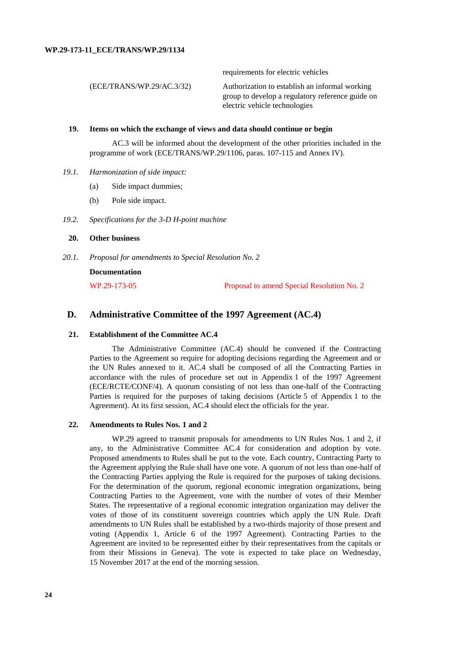|                           | requirements for electric vehicles                                                                                                  |
|---------------------------|-------------------------------------------------------------------------------------------------------------------------------------|
| (ECE/TRANS/WP.29/AC.3/32) | Authorization to establish an informal working<br>group to develop a regulatory reference guide on<br>electric vehicle technologies |
|                           |                                                                                                                                     |

## **19. Items on which the exchange of views and data should continue or begin**

AC.3 will be informed about the development of the other priorities included in the programme of work (ECE/TRANS/WP.29/1106, paras. 107-115 and Annex IV).

- *19.1. Harmonization of side impact:*
	- (a) Side impact dummies;
	- (b) Pole side impact.
- *19.2. Specifications for the 3-D H-point machine*

## **20. Other business**

*20.1. Proposal for amendments to Special Resolution No. 2*

**Documentation**

WP.29-173-05 Proposal to amend Special Resolution No. 2

## **D. Administrative Committee of the 1997 Agreement (AC.4)**

#### **21. Establishment of the Committee AC.4**

The Administrative Committee (AC.4) should be convened if the Contracting Parties to the Agreement so require for adopting decisions regarding the Agreement and or the UN Rules annexed to it. AC.4 shall be composed of all the Contracting Parties in accordance with the rules of procedure set out in Appendix 1 of the 1997 Agreement (ECE/RCTE/CONF/4). A quorum consisting of not less than one-half of the Contracting Parties is required for the purposes of taking decisions (Article 5 of Appendix 1 to the Agreement). At its first session, AC.4 should elect the officials for the year.

#### **22. Amendments to Rules Nos. 1 and 2**

WP.29 agreed to transmit proposals for amendments to UN Rules Nos. 1 and 2, if any, to the Administrative Committee AC.4 for consideration and adoption by vote. Proposed amendments to Rules shall be put to the vote. Each country, Contracting Party to the Agreement applying the Rule shall have one vote. A quorum of not less than one-half of the Contracting Parties applying the Rule is required for the purposes of taking decisions. For the determination of the quorum, regional economic integration organizations, being Contracting Parties to the Agreement, vote with the number of votes of their Member States. The representative of a regional economic integration organization may deliver the votes of those of its constituent sovereign countries which apply the UN Rule. Draft amendments to UN Rules shall be established by a two-thirds majority of those present and voting (Appendix 1, Article 6 of the 1997 Agreement). Contracting Parties to the Agreement are invited to be represented either by their representatives from the capitals or from their Missions in Geneva). The vote is expected to take place on Wednesday, 15 November 2017 at the end of the morning session.